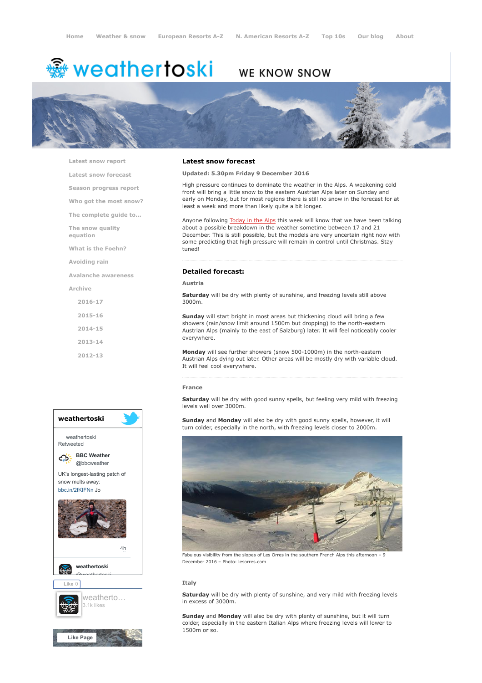# <del>鑾</del> weathertoski

# WE KNOW SNOW



[Latest snow report](https://www.weathertoski.co.uk/weather-snow/latest-snow-report/)

[Latest snow forecast](https://www.weathertoski.co.uk/weather-snow/latest-snow-forecast/)

[Season progress report](https://www.weathertoski.co.uk/weather-snow/season-progress-report/)

[Who got the most snow?](https://www.weathertoski.co.uk/weather-snow/who-got-the-most-snow/)

[The complete guide to...](https://www.weathertoski.co.uk/weather-snow/the-complete-guide-to/)

[The snow quality](https://www.weathertoski.co.uk/weather-snow/the-snow-quality-equation/)

[What is the Foehn?](https://www.weathertoski.co.uk/weather-snow/what-is-the-foehn/)

[Avoiding rain](https://www.weathertoski.co.uk/weather-snow/avoiding-rain/)

[Avalanche awareness](https://www.weathertoski.co.uk/weather-snow/avalanche-awareness/)

[Archive](https://www.weathertoski.co.uk/weather-snow/archive/)

equation

- [2016-17](https://www.weathertoski.co.uk/weather-snow/archive/2016-17/)
- [2015-16](https://www.weathertoski.co.uk/weather-snow/archive/2015-16/)
- [2014-15](https://www.weathertoski.co.uk/weather-snow/archive/2014-15/)
- [2013-14](https://www.weathertoski.co.uk/weather-snow/archive/2013-14/)

[2012-13](https://www.weathertoski.co.uk/weather-snow/archive/2012-13/)



## Latest snow forecast

#### Updated: 5.30pm Friday 9 December 2016

High pressure continues to dominate the weather in the Alps. A weakening cold front will bring a little snow to the eastern Austrian Alps later on Sunday and early on Monday, but for most regions there is still no snow in the forecast for at least a week and more than likely quite a bit longer.

Anyone following **[Today in the Alps](https://www.weathertoski.co.uk/weather-snow/)** this week will know that we have been talking about a possible breakdown in the weather sometime between 17 and 21 December. This is still possible, but the models are very uncertain right now with some predicting that high pressure will remain in control until Christmas. Stay tuned!

# Detailed forecast:

#### Austria

Saturday will be dry with plenty of sunshine, and freezing levels still above 3000m.

Sunday will start bright in most areas but thickening cloud will bring a few showers (rain/snow limit around 1500m but dropping) to the north-eastern Austrian Alps (mainly to the east of Salzburg) later. It will feel noticeably cooler everywhere.

Monday will see further showers (snow 500-1000m) in the north-eastern Austrian Alps dying out later. Other areas will be mostly dry with variable cloud. It will feel cool everywhere.

#### France

Saturday will be dry with good sunny spells, but feeling very mild with freezing levels well over 3000m.

Sunday and Monday will also be dry with good sunny spells, however, it will turn colder, especially in the north, with freezing levels closer to 2000m.



Fabulous visibility from the slopes of Les Orres in the southern French Alps this afternoon December 2016 – Photo: lesorres.com

#### Italy

Saturday will be dry with plenty of sunshine, and very mild with freezing levels in excess of 3000m.

Sunday and Monday will also be dry with plenty of sunshine, but it will turn colder, especially in the eastern Italian Alps where freezing levels will lower to 1500m or so.